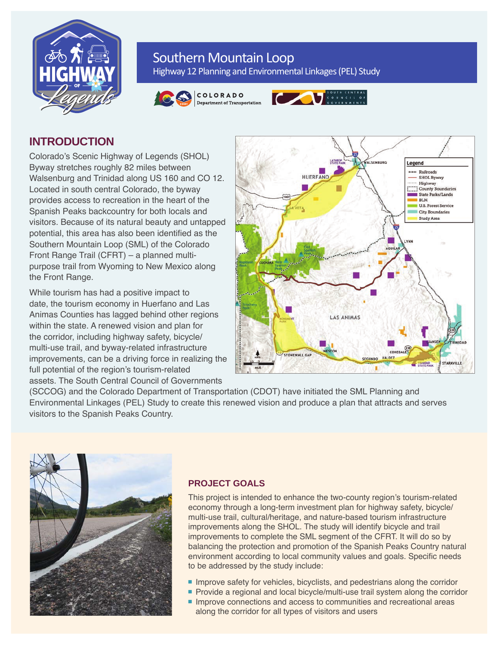

# Southern Mountain Loop

Highway 12 Planning and Environmental Linkages (PEL) Study







# **INTRODUCTION**

Colorado's Scenic Highway of Legends (SHOL) Byway stretches roughly 82 miles between Walsenburg and Trinidad along US 160 and CO 12. Located in south central Colorado, the byway provides access to recreation in the heart of the Spanish Peaks backcountry for both locals and visitors. Because of its natural beauty and untapped potential, this area has also been identified as the Southern Mountain Loop (SML) of the Colorado Front Range Trail (CFRT) – a planned multipurpose trail from Wyoming to New Mexico along the Front Range.

While tourism has had a positive impact to date, the tourism economy in Huerfano and Las Animas Counties has lagged behind other regions within the state. A renewed vision and plan for the corridor, including highway safety, bicycle/ multi-use trail, and byway-related infrastructure improvements, can be a driving force in realizing the full potential of the region's tourism-related assets. The South Central Council of Governments



(SCCOG) and the Colorado Department of Transportation (CDOT) have initiated the SML Planning and Environmental Linkages (PEL) Study to create this renewed vision and produce a plan that attracts and serves visitors to the Spanish Peaks Country.



## **PROJECT GOALS**

This project is intended to enhance the two-county region's tourism-related economy through a long-term investment plan for highway safety, bicycle/ multi-use trail, cultural/heritage, and nature-based tourism infrastructure improvements along the SHOL. The study will identify bicycle and trail improvements to complete the SML segment of the CFRT. It will do so by balancing the protection and promotion of the Spanish Peaks Country natural environment according to local community values and goals. Specific needs to be addressed by the study include:

- $\blacksquare$  Improve safety for vehicles, bicyclists, and pedestrians along the corridor
- **Provide a regional and local bicycle/multi-use trail system along the corridor**
- **n** Improve connections and access to communities and recreational areas along the corridor for all types of visitors and users